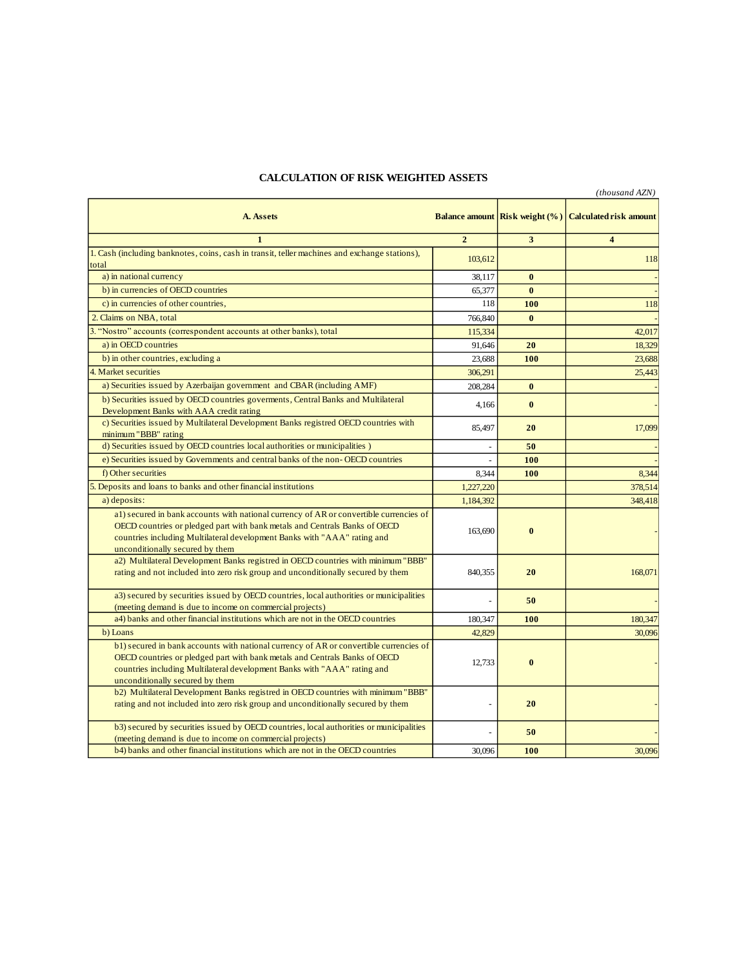## **CALCULATION OF RISK WEIGHTED ASSETS**

|                                                                                                                                                     |                |                                       | (thousand AZN)                |
|-----------------------------------------------------------------------------------------------------------------------------------------------------|----------------|---------------------------------------|-------------------------------|
| A. Assets                                                                                                                                           |                | <b>Balance amount Risk weight (%)</b> | <b>Calculated risk amount</b> |
| $\mathbf{1}$                                                                                                                                        | $\overline{2}$ | 3                                     | $\overline{\mathbf{4}}$       |
| 1. Cash (including banknotes, coins, cash in transit, teller machines and exchange stations),                                                       | 103,612        |                                       | 118                           |
| total                                                                                                                                               |                |                                       |                               |
| a) in national currency                                                                                                                             | 38,117         | $\bf{0}$                              |                               |
| b) in currencies of OECD countries                                                                                                                  | 65.377         | $\mathbf{0}$                          |                               |
| c) in currencies of other countries,                                                                                                                | 118            | 100                                   | 118                           |
| 2. Claims on NBA, total                                                                                                                             | 766,840        | $\bf{0}$                              |                               |
| 3. "Nostro" accounts (correspondent accounts at other banks), total                                                                                 | 115,334        |                                       | 42,017                        |
| a) in OECD countries                                                                                                                                | 91,646         | 20                                    | 18,329                        |
| b) in other countries, excluding a                                                                                                                  | 23,688         | 100                                   | 23,688                        |
| 4. Market securities                                                                                                                                | 306,291        |                                       | 25,443                        |
| a) Securities issued by Azerbaijan government and CBAR (including AMF)                                                                              | 208,284        | $\mathbf{0}$                          |                               |
| b) Securities issued by OECD countries governents, Central Banks and Multilateral                                                                   |                |                                       |                               |
| Development Banks with AAA credit rating                                                                                                            | 4,166          | $\mathbf{0}$                          |                               |
| c) Securities issued by Multilateral Development Banks registred OECD countries with                                                                |                | 20                                    | 17,099                        |
| minimum "BBB" rating                                                                                                                                | 85,497         |                                       |                               |
| d) Securities issued by OECD countries local authorities or municipalities )                                                                        | $\overline{a}$ | 50                                    |                               |
| e) Securities issued by Governments and central banks of the non-OECD countries                                                                     |                | 100                                   |                               |
| f) Other securities                                                                                                                                 | 8.344          | 100                                   | 8,344                         |
| 5. Deposits and loans to banks and other financial institutions                                                                                     | 1,227,220      |                                       | 378,514                       |
| a) deposits:                                                                                                                                        | 1,184,392      |                                       | 348,418                       |
| al) secured in bank accounts with national currency of AR or convertible currencies of                                                              |                |                                       |                               |
| OECD countries or pledged part with bank metals and Centrals Banks of OECD                                                                          | 163,690        | $\bf{0}$                              |                               |
| countries including Multilateral development Banks with "AAA" rating and                                                                            |                |                                       |                               |
| unconditionally secured by them                                                                                                                     |                |                                       |                               |
| a2) Multilateral Development Banks registred in OECD countries with minimum "BBB"                                                                   |                |                                       |                               |
| rating and not included into zero risk group and unconditionally secured by them                                                                    | 840,355        | 20                                    | 168,071                       |
| a3) secured by securities issued by OECD countries, local authorities or municipalities                                                             |                |                                       |                               |
| (meeting demand is due to income on commercial projects)                                                                                            | L,             | 50                                    |                               |
| a4) banks and other financial institutions which are not in the OECD countries                                                                      | 180,347        | 100                                   | 180,347                       |
| b) Loans                                                                                                                                            | 42,829         |                                       | 30,096                        |
| b1) secured in bank accounts with national currency of AR or convertible currencies of                                                              |                |                                       |                               |
| OECD countries or pledged part with bank metals and Centrals Banks of OECD                                                                          |                |                                       |                               |
| countries including Multilateral development Banks with "AAA" rating and                                                                            | 12,733         | $\mathbf{0}$                          |                               |
| unconditionally secured by them                                                                                                                     |                |                                       |                               |
| b2) Multilateral Development Banks registred in OECD countries with minimum "BBB"                                                                   |                |                                       |                               |
| rating and not included into zero risk group and unconditionally secured by them                                                                    | $\overline{a}$ | 20                                    |                               |
|                                                                                                                                                     |                |                                       |                               |
| b3) secured by securities issued by OECD countries, local authorities or municipalities<br>(meeting demand is due to income on commercial projects) |                | 50                                    |                               |
| b4) banks and other financial institutions which are not in the OECD countries                                                                      | 30,096         | 100                                   | 30,096                        |
|                                                                                                                                                     |                |                                       |                               |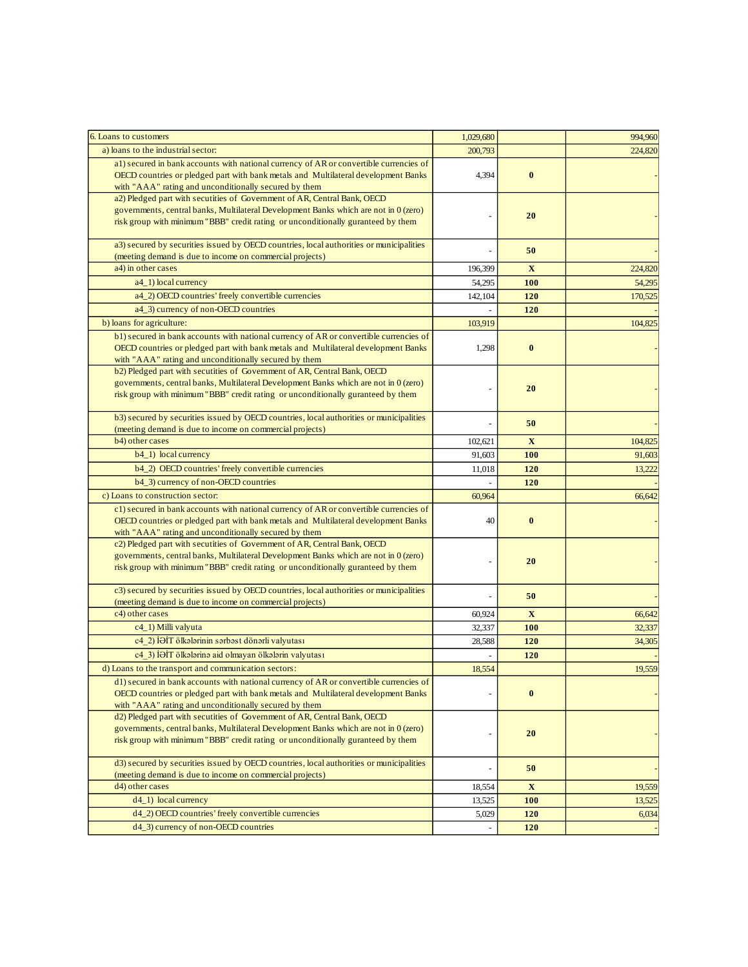| 6. Loans to customers                                                                                                                                                                                                                                                                                         | 1,029,680 |              | 994,960 |
|---------------------------------------------------------------------------------------------------------------------------------------------------------------------------------------------------------------------------------------------------------------------------------------------------------------|-----------|--------------|---------|
| a) loans to the industrial sector:                                                                                                                                                                                                                                                                            | 200,793   |              | 224,820 |
| al) secured in bank accounts with national currency of AR or convertible currencies of<br>OECD countries or pledged part with bank metals and Multilateral development Banks<br>with "AAA" rating and unconditionally secured by them                                                                         | 4,394     | $\bf{0}$     |         |
| a2) Pledged part with secutities of Government of AR, Central Bank, OECD<br>governments, central banks, Multilateral Development Banks which are not in 0 (zero)<br>risk group with minimum "BBB" credit rating or unconditionally guranteed by them                                                          |           | 20           |         |
| a3) secured by securities issued by OECD countries, local authorities or municipalities<br>(meeting demand is due to income on commercial projects)                                                                                                                                                           |           | 50           |         |
| a4) in other cases                                                                                                                                                                                                                                                                                            | 196,399   | $\mathbf{X}$ | 224,820 |
| a4_1) local currency                                                                                                                                                                                                                                                                                          | 54,295    | 100          | 54,295  |
| a4_2) OECD countries' freely convertible currencies                                                                                                                                                                                                                                                           | 142,104   | 120          | 170,525 |
| a4_3) currency of non-OECD countries                                                                                                                                                                                                                                                                          |           | 120          |         |
| b) loans for agriculture:                                                                                                                                                                                                                                                                                     | 103,919   |              | 104,825 |
| b1) secured in bank accounts with national currency of AR or convertible currencies of<br>OECD countries or pledged part with bank metals and Multilateral development Banks<br>with "AAA" rating and unconditionally secured by them                                                                         | 1,298     | $\bf{0}$     |         |
| b2) Pledged part with secutities of Government of AR, Central Bank, OECD<br>governments, central banks, Multilateral Development Banks which are not in 0 (zero)<br>risk group with minimum "BBB" credit rating or unconditionally guranteed by them                                                          |           | 20           |         |
| b3) secured by securities issued by OECD countries, local authorities or municipalities<br>(meeting demand is due to income on commercial projects)                                                                                                                                                           |           | 50           |         |
| b4) other cases                                                                                                                                                                                                                                                                                               | 102,621   | $\mathbf{X}$ | 104,825 |
| b4_1) local currency                                                                                                                                                                                                                                                                                          | 91,603    | 100          | 91,603  |
| b4_2) OECD countries' freely convertible currencies                                                                                                                                                                                                                                                           | 11.018    | 120          | 13,222  |
| b4_3) currency of non-OECD countries                                                                                                                                                                                                                                                                          |           | 120          |         |
| c) Loans to construction sector:                                                                                                                                                                                                                                                                              | 60,964    |              | 66,642  |
| c1) secured in bank accounts with national currency of AR or convertible currencies of<br>OECD countries or pledged part with bank metals and Multilateral development Banks                                                                                                                                  | 40        | $\bf{0}$     |         |
| with "AAA" rating and unconditionally secured by them<br>c2) Pledged part with secutities of Government of AR, Central Bank, OECD<br>governments, central banks, Multilateral Development Banks which are not in 0 (zero)<br>risk group with minimum "BBB" credit rating or unconditionally guranteed by them |           | 20           |         |
| c3) secured by securities issued by OECD countries, local authorities or municipalities<br>(meeting demand is due to income on commercial projects)                                                                                                                                                           |           | 50           |         |
| c4) other cases                                                                                                                                                                                                                                                                                               | 60,924    | X            | 66,642  |
| c4_1) Milli valyuta                                                                                                                                                                                                                                                                                           | 32,337    | <b>100</b>   | 32,337  |
| c4 2) İƏİT ölkələrinin sərbəst dönərli valyutası                                                                                                                                                                                                                                                              | 28,588    | 120          | 34,305  |
| c4 3) İƏİT ölkələrinə aid olmayan ölkələrin valyutası                                                                                                                                                                                                                                                         |           | 120          |         |
| d) Loans to the transport and communication sectors:                                                                                                                                                                                                                                                          | 18,554    |              | 19,559  |
| d1) secured in bank accounts with national currency of AR or convertible currencies of<br>OECD countries or pledged part with bank metals and Multilateral development Banks<br>with "AAA" rating and unconditionally secured by them                                                                         |           | $\bf{0}$     |         |
| d2) Pledged part with secutities of Government of AR, Central Bank, OECD<br>governments, central banks, Multilateral Development Banks which are not in 0 (zero)<br>risk group with minimum "BBB" credit rating or unconditionally guranteed by them                                                          |           | 20           |         |
| d3) secured by securities issued by OECD countries, local authorities or municipalities                                                                                                                                                                                                                       |           | 50           |         |
| (meeting demand is due to income on commercial projects)                                                                                                                                                                                                                                                      |           |              |         |
| d4) other cases                                                                                                                                                                                                                                                                                               | 18,554    | $\mathbf X$  | 19,559  |
| $d4_1)$ local currency                                                                                                                                                                                                                                                                                        | 13,525    | 100          | 13,525  |
| d4_2) OECD countries' freely convertible currencies                                                                                                                                                                                                                                                           | 5,029     | 120          | 6,034   |
| d4_3) currency of non-OECD countries                                                                                                                                                                                                                                                                          |           | 120          |         |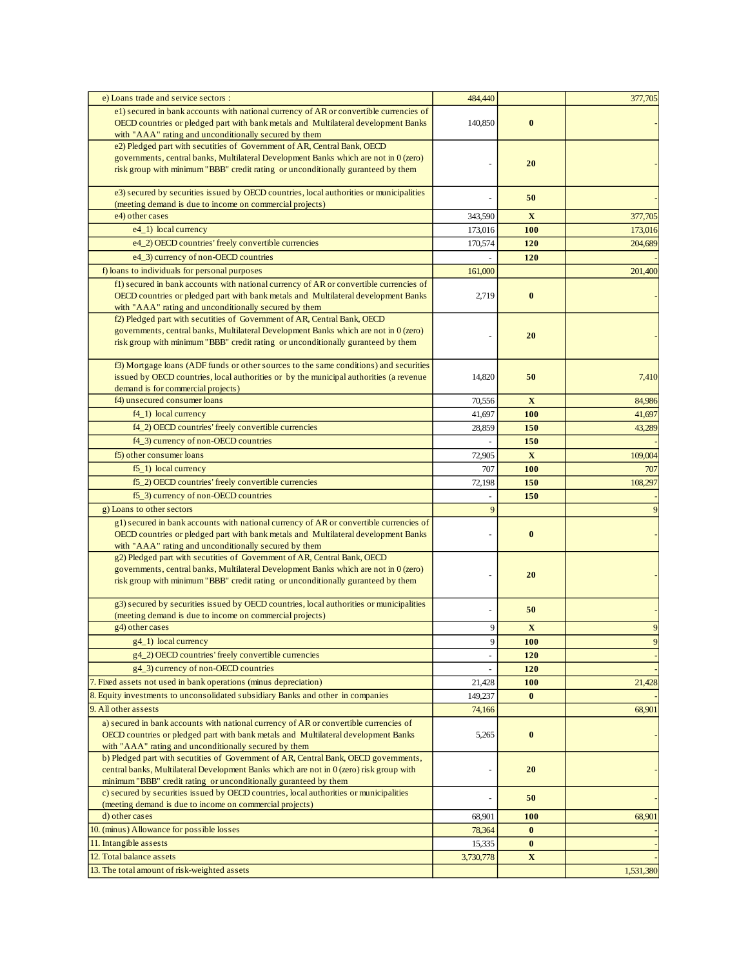| e) Loans trade and service sectors :                                                                                                                                         | 484,440   |              | 377,705   |
|------------------------------------------------------------------------------------------------------------------------------------------------------------------------------|-----------|--------------|-----------|
| e1) secured in bank accounts with national currency of AR or convertible currencies of<br>OECD countries or pledged part with bank metals and Multilateral development Banks | 140,850   | $\bf{0}$     |           |
| with "AAA" rating and unconditionally secured by them                                                                                                                        |           |              |           |
| e2) Pledged part with secutities of Government of AR, Central Bank, OECD                                                                                                     |           |              |           |
| governments, central banks, Multilateral Development Banks which are not in 0 (zero)                                                                                         |           | 20           |           |
| risk group with minimum "BBB" credit rating or unconditionally guranteed by them                                                                                             |           |              |           |
| e3) secured by securities issued by OECD countries, local authorities or municipalities<br>(meeting demand is due to income on commercial projects)                          |           | 50           |           |
| e4) other cases                                                                                                                                                              | 343,590   | $\mathbf X$  | 377,705   |
| e4_1) local currency                                                                                                                                                         | 173,016   | 100          | 173,016   |
| e4_2) OECD countries' freely convertible currencies                                                                                                                          | 170,574   | 120          | 204,689   |
| e4_3) currency of non-OECD countries                                                                                                                                         |           | 120          |           |
| f) loans to individuals for personal purposes                                                                                                                                | 161,000   |              | 201,400   |
| f1) secured in bank accounts with national currency of AR or convertible currencies of                                                                                       |           |              |           |
| OECD countries or pledged part with bank metals and Multilateral development Banks                                                                                           | 2,719     | $\bf{0}$     |           |
| with "AAA" rating and unconditionally secured by them                                                                                                                        |           |              |           |
| f2) Pledged part with secutities of Government of AR, Central Bank, OECD                                                                                                     |           |              |           |
| governments, central banks, Multilateral Development Banks which are not in 0 (zero)                                                                                         |           | 20           |           |
| risk group with minimum "BBB" credit rating or unconditionally guranteed by them                                                                                             |           |              |           |
| f3) Mortgage loans (ADF funds or other sources to the same conditions) and securities                                                                                        |           |              |           |
| issued by OECD countries, local authorities or by the municipal authorities (a revenue                                                                                       | 14,820    | 50           | 7,410     |
| demand is for commercial projects)                                                                                                                                           |           |              |           |
| f4) unsecured consumer loans                                                                                                                                                 | 70,556    | $\mathbf{X}$ | 84,986    |
| $f4_1$ ) local currency                                                                                                                                                      | 41,697    | 100          | 41,697    |
| f4_2) OECD countries' freely convertible currencies                                                                                                                          | 28,859    | 150          | 43,289    |
| f4_3) currency of non-OECD countries                                                                                                                                         |           | 150          |           |
| f5) other consumer loans                                                                                                                                                     | 72,905    | $\mathbf{X}$ | 109,004   |
| $f_{-1}$ ) local currency                                                                                                                                                    | 707       | <b>100</b>   | 707       |
| f5_2) OECD countries' freely convertible currencies                                                                                                                          | 72,198    | 150          | 108,297   |
| f5_3) currency of non-OECD countries                                                                                                                                         |           | 150          |           |
| g) Loans to other sectors                                                                                                                                                    | 9         |              |           |
| g1) secured in bank accounts with national currency of AR or convertible currencies of                                                                                       |           |              |           |
| OECD countries or pledged part with bank metals and Multilateral development Banks                                                                                           |           | $\bf{0}$     |           |
| with "AAA" rating and unconditionally secured by them                                                                                                                        |           |              |           |
| g2) Pledged part with secutities of Government of AR, Central Bank, OECD                                                                                                     |           |              |           |
| governments, central banks, Multilateral Development Banks which are not in 0 (zero)<br>risk group with minimum "BBB" credit rating or unconditionally guranteed by them     |           | 20           |           |
|                                                                                                                                                                              |           |              |           |
| g3) secured by securities issued by OECD countries, local authorities or municipalities                                                                                      |           | 50           |           |
| (meeting demand is due to income on commercial projects)                                                                                                                     |           |              |           |
| g4) other cases                                                                                                                                                              | 9         | $\mathbf X$  | 9         |
| $g4$ (1) local currency                                                                                                                                                      | 9         | <b>100</b>   |           |
| g4_2) OECD countries' freely convertible currencies                                                                                                                          | L,        | 120          |           |
| g4_3) currency of non-OECD countries                                                                                                                                         |           | 120          |           |
| 7. Fixed assets not used in bank operations (minus depreciation)                                                                                                             | 21,428    | 100          | 21,428    |
| 8. Equity investments to unconsolidated subsidiary Banks and other in companies                                                                                              | 149,237   | $\bf{0}$     |           |
| 9. All other assests                                                                                                                                                         | 74,166    |              | 68,901    |
| a) secured in bank accounts with national currency of AR or convertible currencies of                                                                                        |           |              |           |
| OECD countries or pledged part with bank metals and Multilateral development Banks                                                                                           | 5,265     | $\bf{0}$     |           |
| with "AAA" rating and unconditionally secured by them<br>b) Pledged part with secutities of Government of AR, Central Bank, OECD governments,                                |           |              |           |
| central banks, Multilateral Development Banks which are not in 0 (zero) risk group with                                                                                      |           | 20           |           |
| minimum "BBB" credit rating or unconditionally guranteed by them                                                                                                             |           |              |           |
| c) secured by securities issued by OECD countries, local authorities or municipalities                                                                                       |           | 50           |           |
| (meeting demand is due to income on commercial projects)                                                                                                                     |           |              |           |
| d) other cases                                                                                                                                                               | 68,901    | <b>100</b>   | 68,901    |
| 10. (minus) Allowance for possible losses                                                                                                                                    | 78,364    | $\bf{0}$     |           |
| 11. Intangible assests                                                                                                                                                       | 15,335    | $\bf{0}$     |           |
| 12. Total balance assets                                                                                                                                                     | 3,730,778 | $\mathbf X$  |           |
| 13. The total amount of risk-weighted assets                                                                                                                                 |           |              | 1,531,380 |